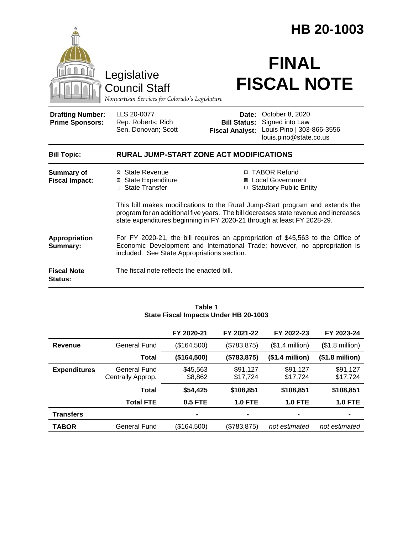|                                                   |                                                                                                                                                                                                              |                                               | HB 20-1003                                                                                                                                                            |  |  |
|---------------------------------------------------|--------------------------------------------------------------------------------------------------------------------------------------------------------------------------------------------------------------|-----------------------------------------------|-----------------------------------------------------------------------------------------------------------------------------------------------------------------------|--|--|
|                                                   | Legislative<br><b>Council Staff</b><br>Nonpartisan Services for Colorado's Legislature                                                                                                                       |                                               | <b>FINAL</b><br><b>FISCAL NOTE</b>                                                                                                                                    |  |  |
| <b>Drafting Number:</b><br><b>Prime Sponsors:</b> | LLS 20-0077<br>Rep. Roberts; Rich<br>Sen. Donovan; Scott                                                                                                                                                     | <b>Bill Status:</b><br><b>Fiscal Analyst:</b> | Date: October 8, 2020<br>Signed into Law<br>Louis Pino   303-866-3556<br>louis.pino@state.co.us                                                                       |  |  |
| <b>Bill Topic:</b>                                | <b>RURAL JUMP-START ZONE ACT MODIFICATIONS</b>                                                                                                                                                               |                                               |                                                                                                                                                                       |  |  |
| <b>Summary of</b><br><b>Fiscal Impact:</b>        | ⊠ State Revenue<br>⊠ State Expenditure<br>□ State Transfer                                                                                                                                                   |                                               | □ TABOR Refund<br><b>⊠</b> Local Government<br>□ Statutory Public Entity                                                                                              |  |  |
|                                                   | state expenditures beginning in FY 2020-21 through at least FY 2028-29.                                                                                                                                      |                                               | This bill makes modifications to the Rural Jump-Start program and extends the<br>program for an additional five years. The bill decreases state revenue and increases |  |  |
| Appropriation<br>Summary:                         | For FY 2020-21, the bill requires an appropriation of \$45,563 to the Office of<br>Economic Development and International Trade; however, no appropriation is<br>included. See State Appropriations section. |                                               |                                                                                                                                                                       |  |  |
| <b>Fiscal Note</b><br>Status:                     | The fiscal note reflects the enacted bill.                                                                                                                                                                   |                                               |                                                                                                                                                                       |  |  |

| State Fiscal linpacts Under HD 20-T003 |                                   |                     |                      |                      |                          |  |
|----------------------------------------|-----------------------------------|---------------------|----------------------|----------------------|--------------------------|--|
|                                        |                                   | FY 2020-21          | FY 2021-22           | FY 2022-23           | FY 2023-24               |  |
| Revenue                                | <b>General Fund</b>               | (\$164,500)         | (\$783,875)          | $($1.4$ million)     | $($1.8 \text{ million})$ |  |
|                                        | <b>Total</b>                      | (\$164,500)         | (\$783, 875)         | $($1.4$ million $)$  | $($1.8 \text{ million})$ |  |
| <b>Expenditures</b>                    | General Fund<br>Centrally Approp. | \$45,563<br>\$8,862 | \$91,127<br>\$17,724 | \$91,127<br>\$17,724 | \$91,127<br>\$17,724     |  |
|                                        | <b>Total</b>                      | \$54,425            | \$108,851            | \$108,851            | \$108,851                |  |
|                                        | <b>Total FTE</b>                  | <b>0.5 FTE</b>      | <b>1.0 FTE</b>       | <b>1.0 FTE</b>       | <b>1.0 FTE</b>           |  |
| <b>Transfers</b>                       |                                   |                     | -                    |                      |                          |  |
| <b>TABOR</b>                           | <b>General Fund</b>               | (\$164,500)         | (\$783,875)          | not estimated        | not estimated            |  |

#### **Table 1 State Fiscal Impacts Under HB 20-1003**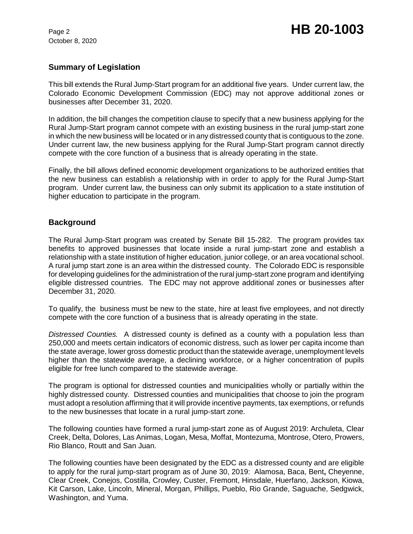## **Summary of Legislation**

This bill extends the Rural Jump-Start program for an additional five years. Under current law, the Colorado Economic Development Commission (EDC) may not approve additional zones or businesses after December 31, 2020.

In addition, the bill changes the competition clause to specify that a new business applying for the Rural Jump-Start program cannot compete with an existing business in the rural jump-start zone in which the new business will be located or in any distressed county that is contiguous to the zone. Under current law, the new business applying for the Rural Jump-Start program cannot directly compete with the core function of a business that is already operating in the state.

Finally, the bill allows defined economic development organizations to be authorized entities that the new business can establish a relationship with in order to apply for the Rural Jump-Start program. Under current law, the business can only submit its application to a state institution of higher education to participate in the program.

# **Background**

The Rural Jump-Start program was created by Senate Bill 15-282. The program provides tax benefits to approved businesses that locate inside a rural jump-start zone and establish a relationship with a state institution of higher education, junior college, or an area vocational school. A rural jump start zone is an area within the distressed county. The Colorado EDC is responsible for developing guidelines for the administration of the rural jump-start zone program and identifying eligible distressed countries. The EDC may not approve additional zones or businesses after December 31, 2020.

To qualify, the business must be new to the state, hire at least five employees, and not directly compete with the core function of a business that is already operating in the state.

*Distressed Counties.* A distressed county is defined as a county with a population less than 250,000 and meets certain indicators of economic distress, such as lower per capita income than the state average, lower gross domestic product than the statewide average, unemployment levels higher than the statewide average, a declining workforce, or a higher concentration of pupils eligible for free lunch compared to the statewide average.

The program is optional for distressed counties and municipalities wholly or partially within the highly distressed county. Distressed counties and municipalities that choose to join the program must adopt a resolution affirming that it will provide incentive payments, tax exemptions, or refunds to the new businesses that locate in a rural jump-start zone.

The following counties have formed a rural jump-start zone as of August 2019: Archuleta, Clear Creek, Delta, Dolores, Las Animas, Logan, Mesa, Moffat, Montezuma, Montrose, Otero, Prowers, Rio Blanco, Routt and San Juan.

The following counties have been designated by the EDC as a distressed county and are eligible to apply for the rural jump-start program as of June 30, 2019: Alamosa, Baca, Bent**,** Cheyenne, Clear Creek, Conejos, Costilla, Crowley, Custer, Fremont, Hinsdale, Huerfano, Jackson, Kiowa, Kit Carson, Lake, Lincoln, Mineral, Morgan, Phillips, Pueblo, Rio Grande, Saguache, Sedgwick, Washington, and Yuma.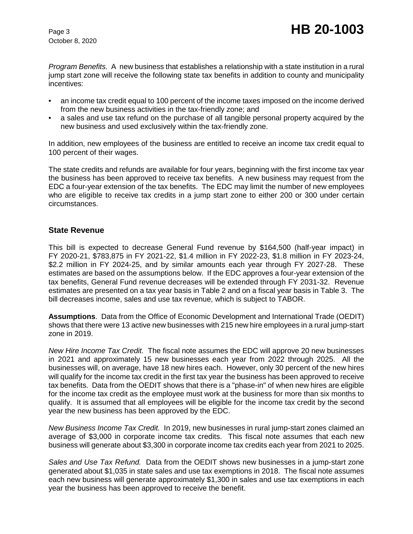*Program Benefits.* A new business that establishes a relationship with a state institution in a rural jump start zone will receive the following state tax benefits in addition to county and municipality incentives:

- an income tax credit equal to 100 percent of the income taxes imposed on the income derived from the new business activities in the tax-friendly zone; and
- a sales and use tax refund on the purchase of all tangible personal property acquired by the new business and used exclusively within the tax-friendly zone.

In addition, new employees of the business are entitled to receive an income tax credit equal to 100 percent of their wages.

The state credits and refunds are available for four years, beginning with the first income tax year the business has been approved to receive tax benefits. A new business may request from the EDC a four-year extension of the tax benefits. The EDC may limit the number of new employees who are eligible to receive tax credits in a jump start zone to either 200 or 300 under certain circumstances.

### **State Revenue**

This bill is expected to decrease General Fund revenue by \$164,500 (half-year impact) in FY 2020-21, \$783,875 in FY 2021-22, \$1.4 million in FY 2022-23, \$1.8 million in FY 2023-24, \$2.2 million in FY 2024-25, and by similar amounts each year through FY 2027-28. These estimates are based on the assumptions below. If the EDC approves a four-year extension of the tax benefits, General Fund revenue decreases will be extended through FY 2031-32. Revenue estimates are presented on a tax year basis in Table 2 and on a fiscal year basis in Table 3. The bill decreases income, sales and use tax revenue, which is subject to TABOR.

**Assumptions**. Data from the Office of Economic Development and International Trade (OEDIT) shows that there were 13 active new businesses with 215 new hire employees in a rural jump-start zone in 2019.

*New Hire Income Tax Credit.* The fiscal note assumes the EDC will approve 20 new businesses in 2021 and approximately 15 new businesses each year from 2022 through 2025. All the businesses will, on average, have 18 new hires each. However, only 30 percent of the new hires will qualify for the income tax credit in the first tax year the business has been approved to receive tax benefits. Data from the OEDIT shows that there is a "phase-in" of when new hires are eligible for the income tax credit as the employee must work at the business for more than six months to qualify. It is assumed that all employees will be eligible for the income tax credit by the second year the new business has been approved by the EDC.

*New Business Income Tax Credit.* In 2019, new businesses in rural jump-start zones claimed an average of \$3,000 in corporate income tax credits. This fiscal note assumes that each new business will generate about \$3,300 in corporate income tax credits each year from 2021 to 2025.

*Sales and Use Tax Refund.* Data from the OEDIT shows new businesses in a jump-start zone generated about \$1,035 in state sales and use tax exemptions in 2018. The fiscal note assumes each new business will generate approximately \$1,300 in sales and use tax exemptions in each year the business has been approved to receive the benefit.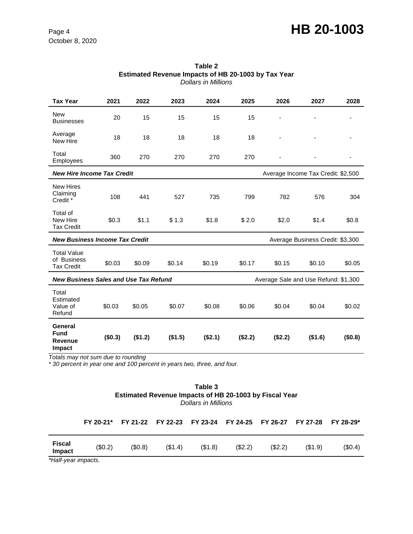# Page 4 **HB 20-1003**

| <b>Tax Year</b>                                                                      | 2021    | 2022    | 2023    | 2024    | 2025    | 2026                               | 2027    | 2028    |
|--------------------------------------------------------------------------------------|---------|---------|---------|---------|---------|------------------------------------|---------|---------|
| <b>New</b><br><b>Businesses</b>                                                      | 20      | 15      | 15      | 15      | 15      |                                    |         |         |
| Average<br>New Hire                                                                  | 18      | 18      | 18      | 18      | 18      |                                    |         |         |
| Total<br>Employees                                                                   | 360     | 270     | 270     | 270     | 270     |                                    |         | -       |
| <b>New Hire Income Tax Credit</b>                                                    |         |         |         |         |         | Average Income Tax Credit: \$2,500 |         |         |
| <b>New Hires</b><br>Claiming<br>Credit <sup>*</sup>                                  | 108     | 441     | 527     | 735     | 799     | 782                                | 576     | 304     |
| Total of<br>New Hire<br><b>Tax Credit</b>                                            | \$0.3   | \$1.1   | \$1.3   | \$1.8   | \$2.0   | \$2.0                              | \$1.4   | \$0.8   |
| <b>New Business Income Tax Credit</b><br>Average Business Credit: \$3,300            |         |         |         |         |         |                                    |         |         |
| <b>Total Value</b><br>of Business<br><b>Tax Credit</b>                               | \$0.03  | \$0.09  | \$0.14  | \$0.19  | \$0.17  | \$0.15                             | \$0.10  | \$0.05  |
| <b>New Business Sales and Use Tax Refund</b><br>Average Sale and Use Refund: \$1,300 |         |         |         |         |         |                                    |         |         |
| Total<br>Estimated<br>Value of<br>Refund                                             | \$0.03  | \$0.05  | \$0.07  | \$0.08  | \$0.06  | \$0.04                             | \$0.04  | \$0.02  |
| <b>General</b><br><b>Fund</b><br>Revenue<br>Impact                                   | (\$0.3) | (\$1.2) | (\$1.5) | (\$2.1) | (\$2.2) | (\$2.2)                            | (\$1.6) | (\$0.8) |

| Table 2                                             |
|-----------------------------------------------------|
| Estimated Revenue Impacts of HB 20-1003 by Tax Year |
| Dollars in Millions                                 |

*Totals may not sum due to rounding* 

*\* 30 percent in year one and 100 percent in years two, three, and four.*

| Table 3                                                       |
|---------------------------------------------------------------|
| <b>Estimated Revenue Impacts of HB 20-1003 by Fiscal Year</b> |
| <b>Dollars in Millions</b>                                    |

|                                                                                                         |        | FY 20-21* FY 21-22 FY 22-23 FY 23-24 FY 24-25 FY 26-27 FY 27-28 FY 28-29* |  |  |        |
|---------------------------------------------------------------------------------------------------------|--------|---------------------------------------------------------------------------|--|--|--------|
| (\$0.2)<br>(\$0.8)<br>(\$1.4)<br>(\$1.8)<br>(S2.2)<br>(S2.2)<br>(S1.9)<br>Impact<br>$*11 - 10 - 10 = 0$ | Fiscal |                                                                           |  |  | (S0.4) |

*\*Half-year impacts.*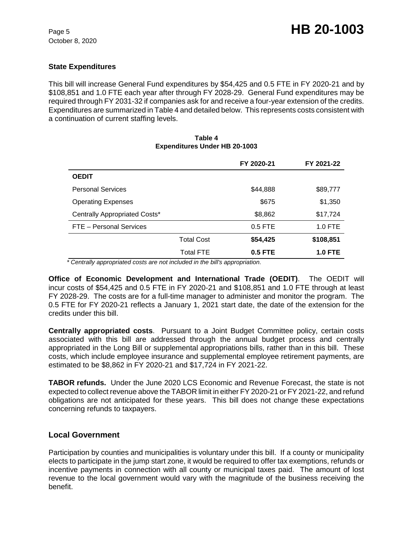#### **State Expenditures**

This bill will increase General Fund expenditures by \$54,425 and 0.5 FTE in FY 2020-21 and by \$108,851 and 1.0 FTE each year after through FY 2028-29. General Fund expenditures may be required through FY 2031-32 if companies ask for and receive a four-year extension of the credits. Expenditures are summarized in Table 4 and detailed below.This represents costs consistent with a continuation of current staffing levels.

# **FY 2020-21 FY 2021-22 OEDIT** Personal Services **\$44,888** \$89,777 Operating Expenses  $$675$   $$1,350$ Centrally Appropriated Costs\*  $$8,862$  \$17,724 FTE – Personal Services and the service of the 1.0 FTE and 1.0 FTE Total Cost **\$54,425 \$108,851** Total FTE **0.5 FTE 1.0 FTE**

## **Table 4 Expenditures Under HB 20-1003**

 *\* Centrally appropriated costs are not included in the bill's appropriation.*

**Office of Economic Development and International Trade (OEDIT)**. The OEDIT will incur costs of \$54,425 and 0.5 FTE in FY 2020-21 and \$108,851 and 1.0 FTE through at least FY 2028-29. The costs are for a full-time manager to administer and monitor the program. The 0.5 FTE for FY 2020-21 reflects a January 1, 2021 start date, the date of the extension for the credits under this bill.

**Centrally appropriated costs**. Pursuant to a Joint Budget Committee policy, certain costs associated with this bill are addressed through the annual budget process and centrally appropriated in the Long Bill or supplemental appropriations bills, rather than in this bill. These costs, which include employee insurance and supplemental employee retirement payments, are estimated to be \$8,862 in FY 2020-21 and \$17,724 in FY 2021-22.

**TABOR refunds.** Under the June 2020 LCS Economic and Revenue Forecast, the state is not expected to collect revenue above the TABOR limit in either FY 2020-21 or FY 2021-22, and refund obligations are not anticipated for these years. This bill does not change these expectations concerning refunds to taxpayers.

#### **Local Government**

Participation by counties and municipalities is voluntary under this bill. If a county or municipality elects to participate in the jump start zone, it would be required to offer tax exemptions, refunds or incentive payments in connection with all county or municipal taxes paid. The amount of lost revenue to the local government would vary with the magnitude of the business receiving the benefit.